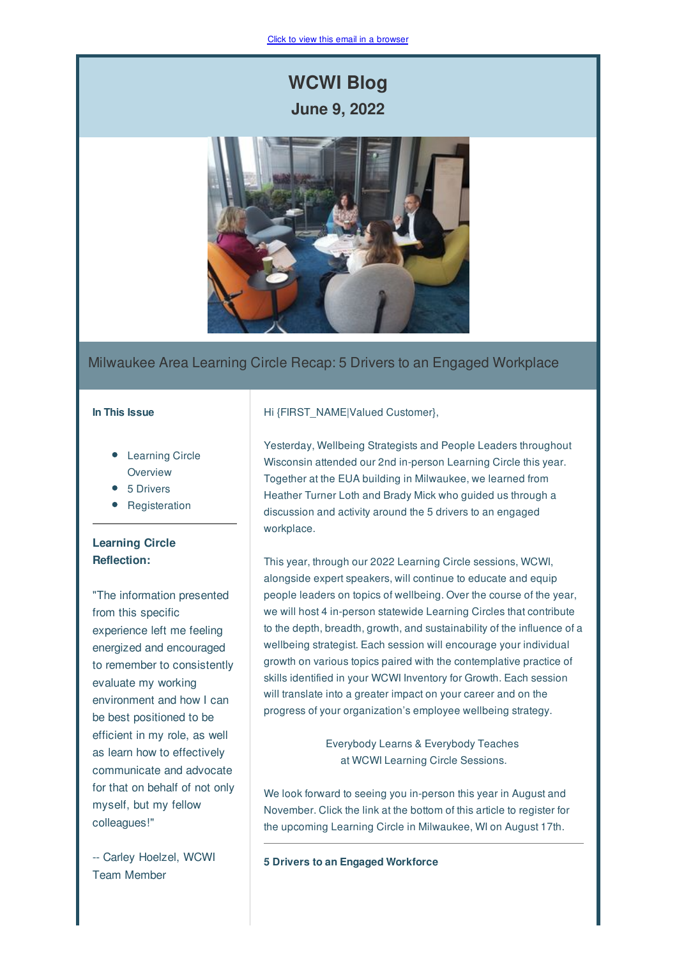# **WCWI Blog June 9, 2022**



### Milwaukee Area Learning Circle Recap: 5 Drivers to an Engaged Workplace

#### **In This Issue**

- Learning Circle **Overview**
- 5 Drivers
- Registeration

## **Learning Circle Reflection:**

"The information presented from this specific experience left me feeling energized and encouraged to remember to consistently evaluate my working environment and how I can be best positioned to be efficient in my role, as well as learn how to effectively communicate and advocate for that on behalf of not only myself, but my fellow colleagues!"

-- Carley Hoelzel, WCWI Team Member

### Hi {FIRST\_NAME|Valued Customer},

Yesterday, Wellbeing Strategists and People Leaders throughout Wisconsin attended our 2nd in-person Learning Circle this year. Together at the EUA building in Milwaukee, we learned from Heather Turner Loth and Brady Mick who guided us through a discussion and activity around the 5 drivers to an engaged workplace.

This year, through our 2022 Learning Circle sessions, WCWI, alongside expert speakers, will continue to educate and equip people leaders on topics of wellbeing. Over the course of the year, we will host 4 in-person statewide Learning Circles that contribute to the depth, breadth, growth, and sustainability of the influence of a wellbeing strategist. Each session will encourage your individual growth on various topics paired with the contemplative practice of skills identified in your WCWI Inventory for Growth. Each session will translate into a greater impact on your career and on the progress of your organization's employee wellbeing strategy.

> Everybody Learns & Everybody Teaches at WCWI Learning Circle Sessions.

We look forward to seeing you in-person this year in August and November. Click the link at the bottom of this article to register for the upcoming Learning Circle in Milwaukee, WI on August 17th.

**5 Drivers to an Engaged Workforce**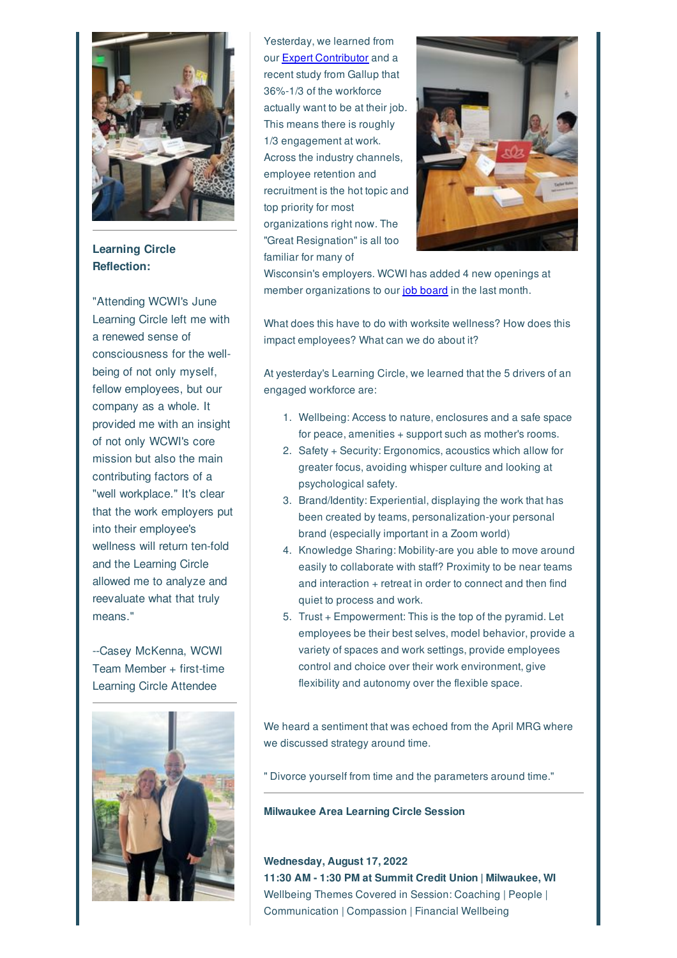

**Learning Circle Reflection:**

"Attending WCWI's June Learning Circle left me with a renewed sense of consciousness for the wellbeing of not only myself, fellow employees, but our company as a whole. It provided me with an insight of not only WCWI's core mission but also the main contributing factors of a "well workplace." It's clear that the work employers put into their employee's wellness will return ten-fold and the Learning Circle allowed me to analyze and reevaluate what that truly means."

--Casey McKenna, WCWI Team Member + first-time Learning Circle Attendee



Yesterday, we learned from our Expert Contributor and a recent study from Gallup that 36%-1/3 of the workforce actually want to be at their job. This means there is roughly 1/3 engagement at work. Across the industry channels, employee retention and recruitment is the hot topic and top priority for most organizations right now. The "Great Resignation" is all too familiar for many of



Wisconsin's employers. WCWI has added 4 new openings at member organizations to our job board in the last month.

What does this have to do with worksite wellness? How does this impact employees? What can we do about it?

At yesterday's Learning Circle, we learned that the 5 drivers of an engaged workforce are:

- 1. Wellbeing: Access to nature, enclosures and a safe space for peace, amenities + support such as mother's rooms.
- 2. Safety + Security: Ergonomics, acoustics which allow for greater focus, avoiding whisper culture and looking at psychological safety.
- 3. Brand/Identity: Experiential, displaying the work that has been created by teams, personalization-your personal brand (especially important in a Zoom world)
- 4. Knowledge Sharing: Mobility-are you able to move around easily to collaborate with staff? Proximity to be near teams and interaction + retreat in order to connect and then find quiet to process and work.
- 5. Trust + Empowerment: This is the top of the pyramid. Let employees be their best selves, model behavior, provide a variety of spaces and work settings, provide employees control and choice over their work environment, give flexibility and autonomy over the flexible space.

We heard a sentiment that was echoed from the April MRG where we discussed strategy around time.

" Divorce yourself from time and the parameters around time."

#### **Milwaukee Area Learning Circle Session**

**Wednesday, August 17, 2022 11:30 AM - 1:30 PM at Summit Credit Union | Milwaukee, WI** Wellbeing Themes Covered in Session: Coaching | People | Communication | Compassion | Financial Wellbeing